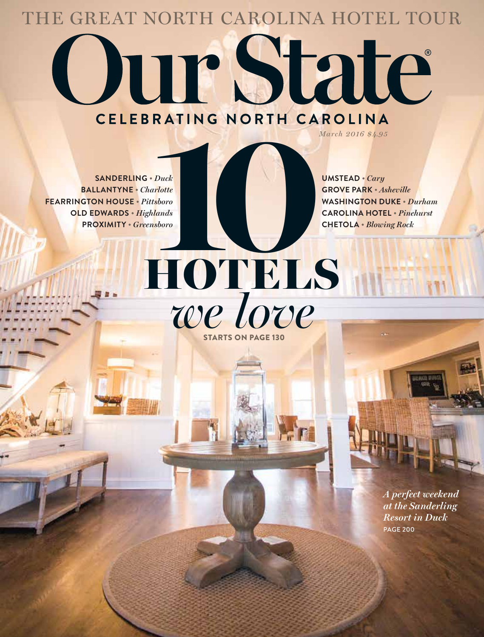## the great north carolina hotel tour

## **Our State**

**Sanderling •** *Duck*  **Ballantyne •** *Charlotte* **Fearrington House •** *Pittsboro* **Old Edwards •** *Highlands* **Proximity •** *Greensboro*

*March 2016 \$4.95*

**Grove Park •** *Asheville* **Washington Duke •** *Durham* **Carolina Hotel •** *Pinehurst* **Chetola •** *Blowing Rock*

HOTELS *we love* **EXATING NORTH CAROLINA**<br>
March 2016 84.98<br>
UMSTEAD • Cary<br>
Flotte<br>
shoro<br>
Jands<br>
shoro<br>
CHETOLA • Blower PORTH CAROLINA HOTE<br>
CHETOLA • Blower Starts on page 130

> *A perfect weekend at the Sanderling Resort in Duck* page 200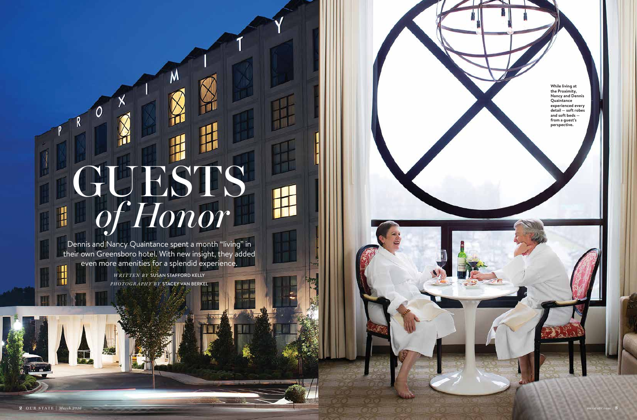## GUESTS *of Honor*  $\mathbf{H}$

V١

**2** Our State | *March 2016 ourstate.com* **3**

Dennis and Nancy Quaintance spent a month "living" in their own Greensboro hotel. With new insight, they added even more amenities for a splendid experience.

*written by* Susan Stafford Kelly *photography by* stacey van berkel

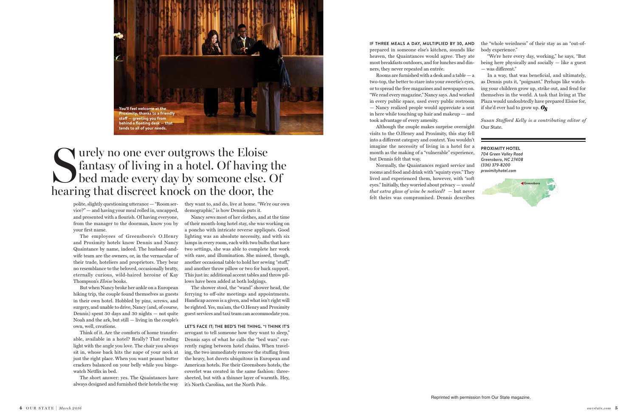## Surely no one ever outgrows the Eloise<br>fantasy of living in a hotel. Of having<br>bed made every day by someone else. fantasy of living in a hotel. Of having the **Example is a second second to a fixed matrice of the matrice of the matrice of the second second second second to all of your needs.**<br> **tends to all of your needs.**<br> **tends to all of your needs.**<br> **tends to all of your ne** hearing that discreet knock on the door, the

polite, slightly questioning utterance — "Room service?" — and having your meal rolled in, uncapped, and presented with a flourish. Of having everyone, from the manager to the doorman, know you by your first name.

The employees of Greensboro's O.Henry and Proximity hotels know Dennis and Nancy Quaintance by name, indeed. The husband-andwife team are the owners, or, in the vernacular of their trade, hoteliers and proprietors. They bear no resemblance to the beloved, occasionally bratty, eternally curious, wild-haired heroine of Kay Thompson's *Eloise* books.

But when Nancy broke her ankle on a European hiking trip, the couple found themselves as guests in their own hotel. Hobbled by pins, screws, and surgery, and unable to drive, Nancy (and, of course, Dennis) spent 30 days and 30 nights — not quite Noah and the ark, but still — living in the couple's own, well, creations.

Think of it. Are the comforts of home transferable, available in a hotel? Really? That reading light with the angle you love. The chair you always sit in, whose back hits the nape of your neck at just the right place. When you want peanut butter crackers balanced on your belly while you bingewatch Netflix in bed.

The short answer: yes. The Quaintances have always designed and furnished their hotels the way

the "whole weirdness" of their stay as an "out-ofbody experience."

they want to, and do, live at home. "We're our own demographic," is how Dennis puts it.

In a way, that was beneficial, and ultimately, as Dennis puts it, "poignant." Perhaps like watching your children grow up, strike out, and fend for themselves in the world. A task that living at The Plaza would undoubtedly have prepared Eloise for, if she'd ever had to grow up.  $\mathbf{Q}_{\mathbf{S}}$ 

Nancy sews most of her clothes, and at the time of their month-long hotel stay, she was working on a poncho with intricate reverse appliqués. Good lighting was an absolute necessity, and with six lamps in every room, each with two bulbs that have two settings, she was able to complete her work with ease, and illumination. She missed, though, another occasional table to hold her sewing "stuff," and another throw pillow or two for back support. This just in: additional accent tables and throw pillows have been added at both lodgings.

The shower stool, the "wand" shower head, the ferrying to off-site meetings and appointments. Handicap access is a given, and what isn't right will be righted. Yes, ma'am, the O.Henry and Proximity guest services and taxi team can accommodate you.

**Let's face it; the bed's the thing. "I think it's**  arrogant to tell someone how they want to sleep," Dennis says of what he calls the "bed wars" currently raging between hotel chains. When traveling, the two immediately remove the stuffing from the heavy, hot duvets ubiquitous in European and American hotels. For their Greensboro hotels, the coverlet was created in the same fashion: threesheeted, but with a thinner layer of warmth. Hey, it's North Carolina, not the North Pole.



"We're here every day, working," he says, "But being here physically and socially — like a guest — was different."

*Susan Stafford Kelly is a contributing editor of*  Our State.

**Proximity HOTEL**  *704 Green Valley Road Greensboro, NC 27408 (336) 379-8200 proximityhotel.com* 

**If three meals a day, multiplied by 30, and** prepared in someone else's kitchen, sounds like heaven, the Quaintances would agree. They ate most breakfasts outdoors, and for lunches and dinners, they never repeated an entrée.

Rooms are furnished with a desk and a table — a two-top, the better to stare into your sweetie's eyes, or to spread the free magazines and newspapers on. "We read every magazine," Nancy says. And worked in every public space, used every public restroom — Nancy realized people would appreciate a seat in here while touching up hair and makeup — and took advantage of every amenity.

Although the couple makes surprise overnight visits to the O.Henry and Proximity, this stay fell into a different category and context. You wouldn't imagine the necessity of living in a hotel for a month as the making of a "vulnerable" experience, but Dennis felt that way.

Normally, the Quaintances regard service and rooms and food and drink with "squinty eyes." They lived and experienced them, however, with "soft eyes." Initially, they worried about privacy — *would that extra glass of wine be noticed?* — but never felt theirs was compromised. Dennis describes

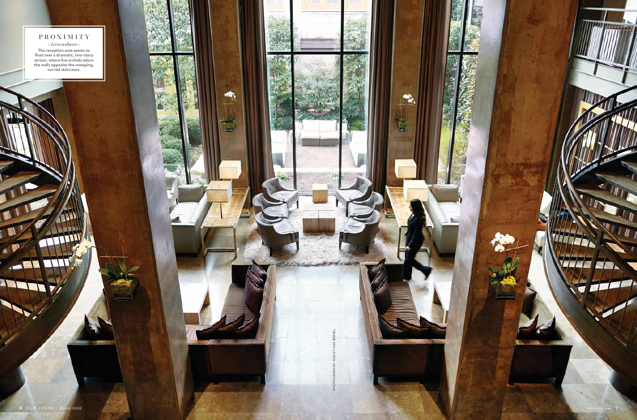

PHOTOGRAPH BY STACEY VAN BERKEL

 $\clubsuit$ 

Ě

P.

**TIME &** 

VI

 $\blacksquare$ 

╭

أكله

**proximity •** *Greensboro* **• The reception area seems to float over a dramatic, two-story atrium, where live orchids adorn the walls opposite the sweeping, curved staircases.**

a composito de cara

 $\blacksquare$ 

**Red**